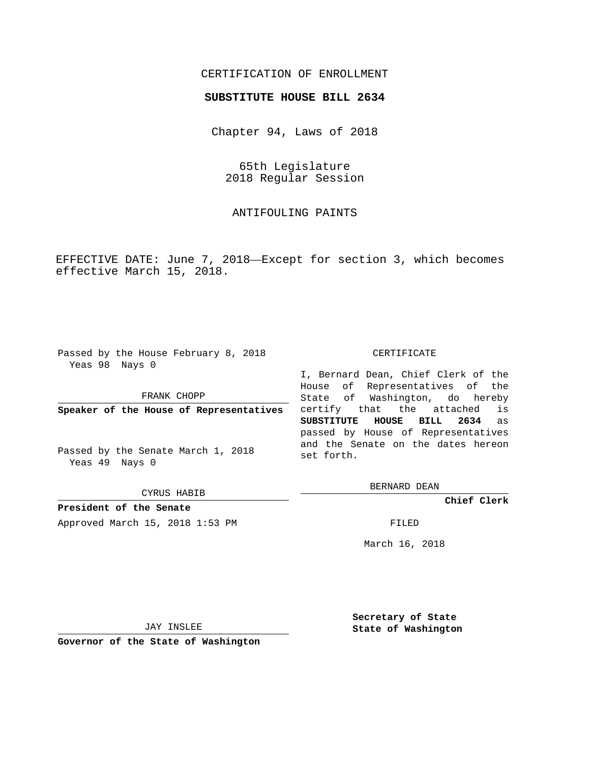## CERTIFICATION OF ENROLLMENT

## **SUBSTITUTE HOUSE BILL 2634**

Chapter 94, Laws of 2018

65th Legislature 2018 Regular Session

ANTIFOULING PAINTS

EFFECTIVE DATE: June 7, 2018—Except for section 3, which becomes effective March 15, 2018.

Passed by the House February 8, 2018 Yeas 98 Nays 0

FRANK CHOPP

**Speaker of the House of Representatives**

Passed by the Senate March 1, 2018 Yeas 49 Nays 0

CYRUS HABIB

**President of the Senate**

Approved March 15, 2018 1:53 PM FILED

## CERTIFICATE

I, Bernard Dean, Chief Clerk of the House of Representatives of the State of Washington, do hereby certify that the attached is **SUBSTITUTE HOUSE BILL 2634** as passed by House of Representatives and the Senate on the dates hereon set forth.

BERNARD DEAN

**Chief Clerk**

March 16, 2018

JAY INSLEE

**Governor of the State of Washington**

**Secretary of State State of Washington**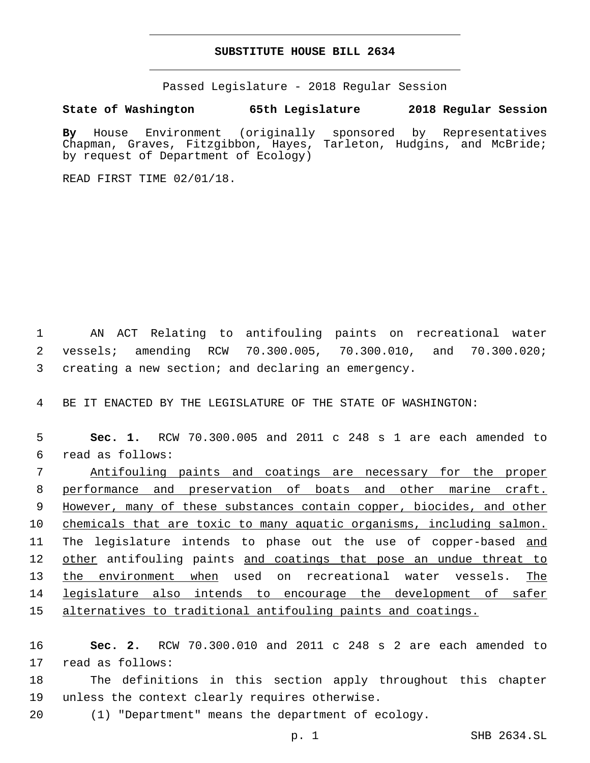## **SUBSTITUTE HOUSE BILL 2634**

Passed Legislature - 2018 Regular Session

**State of Washington 65th Legislature 2018 Regular Session**

**By** House Environment (originally sponsored by Representatives Chapman, Graves, Fitzgibbon, Hayes, Tarleton, Hudgins, and McBride; by request of Department of Ecology)

READ FIRST TIME 02/01/18.

1 AN ACT Relating to antifouling paints on recreational water 2 vessels; amending RCW 70.300.005, 70.300.010, and 70.300.020; 3 creating a new section; and declaring an emergency.

4 BE IT ENACTED BY THE LEGISLATURE OF THE STATE OF WASHINGTON:

5 **Sec. 1.** RCW 70.300.005 and 2011 c 248 s 1 are each amended to read as follows:6

 Antifouling paints and coatings are necessary for the proper performance and preservation of boats and other marine craft. However, many of these substances contain copper, biocides, and other 10 chemicals that are toxic to many aquatic organisms, including salmon. 11 The legislature intends to phase out the use of copper-based and 12 other antifouling paints and coatings that pose an undue threat to the environment when used on recreational water vessels. The legislature also intends to encourage the development of safer alternatives to traditional antifouling paints and coatings.

16 **Sec. 2.** RCW 70.300.010 and 2011 c 248 s 2 are each amended to 17 read as follows:

18 The definitions in this section apply throughout this chapter 19 unless the context clearly requires otherwise.

20 (1) "Department" means the department of ecology.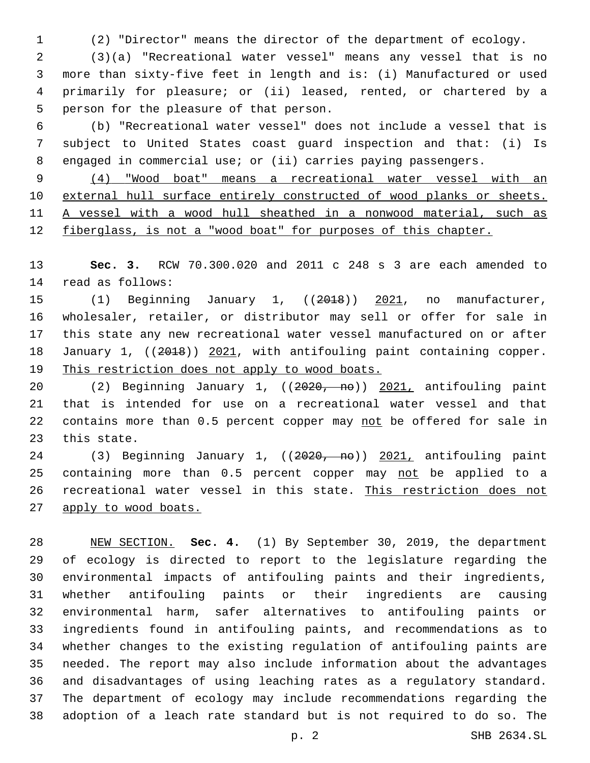(2) "Director" means the director of the department of ecology.

 (3)(a) "Recreational water vessel" means any vessel that is no more than sixty-five feet in length and is: (i) Manufactured or used primarily for pleasure; or (ii) leased, rented, or chartered by a 5 person for the pleasure of that person.

 (b) "Recreational water vessel" does not include a vessel that is subject to United States coast guard inspection and that: (i) Is engaged in commercial use; or (ii) carries paying passengers.

 (4) "Wood boat" means a recreational water vessel with an external hull surface entirely constructed of wood planks or sheets. A vessel with a wood hull sheathed in a nonwood material, such as fiberglass, is not a "wood boat" for purposes of this chapter.

 **Sec. 3.** RCW 70.300.020 and 2011 c 248 s 3 are each amended to 14 read as follows:

15 (1) Beginning January 1, ((2018)) 2021, no manufacturer, wholesaler, retailer, or distributor may sell or offer for sale in this state any new recreational water vessel manufactured on or after 18 January 1, ((2018)) 2021, with antifouling paint containing copper. This restriction does not apply to wood boats.

 (2) Beginning January 1, ((2020, no)) 2021, antifouling paint that is intended for use on a recreational water vessel and that 22 contains more than 0.5 percent copper may not be offered for sale in 23 this state.

24 (3) Beginning January 1, ((2020, no)) 2021, antifouling paint 25 containing more than 0.5 percent copper may not be applied to a recreational water vessel in this state. This restriction does not apply to wood boats.

 NEW SECTION. **Sec. 4.** (1) By September 30, 2019, the department of ecology is directed to report to the legislature regarding the environmental impacts of antifouling paints and their ingredients, whether antifouling paints or their ingredients are causing environmental harm, safer alternatives to antifouling paints or ingredients found in antifouling paints, and recommendations as to whether changes to the existing regulation of antifouling paints are needed. The report may also include information about the advantages and disadvantages of using leaching rates as a regulatory standard. The department of ecology may include recommendations regarding the adoption of a leach rate standard but is not required to do so. The